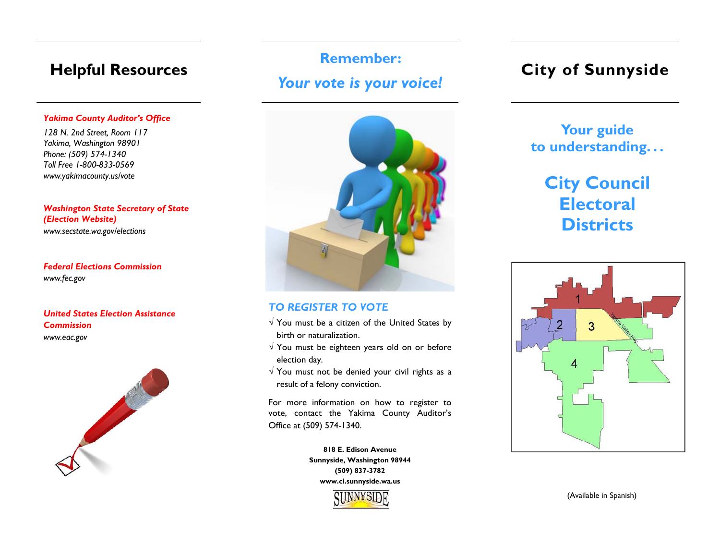## **Helpful Resources**

## *Yakima County Auditor's Office*

*128 N. 2nd Street, Room 117 Yakima, Washington 98901 Phone: (509) 574-1340 Toll Free 1-800-833-0569 www.yakimacounty.us/vote* 

*Washington State Secretary of State (Election Website) www.secstate.wa.gov/elections* 

## *Federal Elections Commission www.fec.gov*

## *United States Election Assistance Commission www.eac.gov*



# **Remember:** *Your vote is your voice!*



## *TO REGISTER TO VOTE*

- $\sqrt{Y}$  You must be a citizen of the United States by birth or naturalization.
- $\sqrt{Y}$  You must be eighteen years old on or before election day.
- $\sqrt{y}$  You must not be denied your civil rights as a result of a felony conviction.

For more information on how to register to vote, contact the Yakima County Auditor's Office at (509) 574-1340.

> **818 E. Edison Avenue Sunnyside, Washington 98944 (509) 837-3782 www.ci.sunnyside.wa.us**



## **City of Sunnyside**

## **Your guide to understanding. . .**

# **City Council Electoral Districts**



(Available in Spanish)